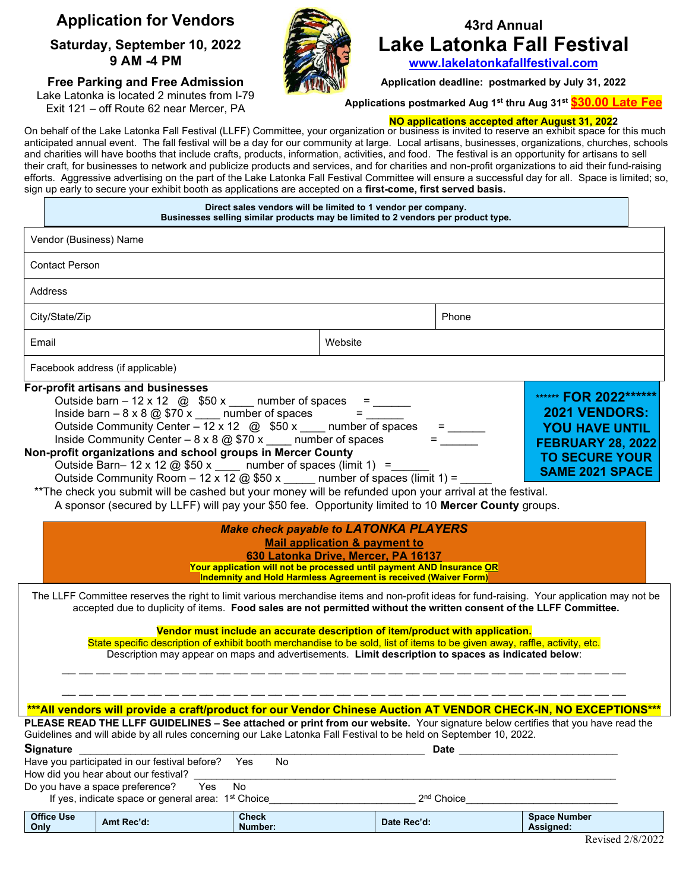## Application for Vendors

Saturday, September 10, 2022 9 AM -4 PM

### Free Parking and Free Admission

Lake Latonka is located 2 minutes from I-79 Exit 121 – off Route 62 near Mercer, PA

## 43rd Annual Lake Latonka Fall Festival

www.lakelatonkafallfestival.com

Application deadline: postmarked by July 31, 2022

Applications postmarked Aug 1<sup>st</sup> thru Aug 31<sup>st</sup> \$30.00 Late Fee

### NO applications accepted after August 31, 2022

On behalf of the Lake Latonka Fall Festival (LLFF) Committee, your organization or business is invited to reserve an exhibit space for this much anticipated annual event. The fall festival will be a day for our community at large. Local artisans, businesses, organizations, churches, schools and charities will have booths that include crafts, products, information, activities, and food. The festival is an opportunity for artisans to sell their craft, for businesses to network and publicize products and services, and for charities and non-profit organizations to aid their fund-raising efforts. Aggressive advertising on the part of the Lake Latonka Fall Festival Committee will ensure a successful day for all. Space is limited; so, sign up early to secure your exhibit booth as applications are accepted on a first-come, first served basis.

#### Direct sales vendors will be limited to 1 vendor per company. Businesses selling similar products may be limited to 2 vendors per product type.

| Vendor (Business) Name    |                                                                                                                                                                                                                                                                                                                                                                                                                                                                                                                                                                                                                                                                                                                                                     |                         |                                                                                                                                                                                                                                                                             |                        |                                                                                                                                                        |  |
|---------------------------|-----------------------------------------------------------------------------------------------------------------------------------------------------------------------------------------------------------------------------------------------------------------------------------------------------------------------------------------------------------------------------------------------------------------------------------------------------------------------------------------------------------------------------------------------------------------------------------------------------------------------------------------------------------------------------------------------------------------------------------------------------|-------------------------|-----------------------------------------------------------------------------------------------------------------------------------------------------------------------------------------------------------------------------------------------------------------------------|------------------------|--------------------------------------------------------------------------------------------------------------------------------------------------------|--|
| <b>Contact Person</b>     |                                                                                                                                                                                                                                                                                                                                                                                                                                                                                                                                                                                                                                                                                                                                                     |                         |                                                                                                                                                                                                                                                                             |                        |                                                                                                                                                        |  |
| <b>Address</b>            |                                                                                                                                                                                                                                                                                                                                                                                                                                                                                                                                                                                                                                                                                                                                                     |                         |                                                                                                                                                                                                                                                                             |                        |                                                                                                                                                        |  |
| City/State/Zip            |                                                                                                                                                                                                                                                                                                                                                                                                                                                                                                                                                                                                                                                                                                                                                     |                         |                                                                                                                                                                                                                                                                             | Phone                  |                                                                                                                                                        |  |
| Email                     |                                                                                                                                                                                                                                                                                                                                                                                                                                                                                                                                                                                                                                                                                                                                                     |                         | Website                                                                                                                                                                                                                                                                     |                        |                                                                                                                                                        |  |
|                           | Facebook address (if applicable)                                                                                                                                                                                                                                                                                                                                                                                                                                                                                                                                                                                                                                                                                                                    |                         |                                                                                                                                                                                                                                                                             |                        |                                                                                                                                                        |  |
|                           | For-profit artisans and businesses<br>Outside barn - $12 \times 12$ @ \$50 x ____ number of spaces = _____<br>Inside barn $-8 \times 8$ @ \$70 x number of spaces<br>Outside Community Center - 12 x 12 @ \$50 x __ number of spaces<br>Inside Community Center - $8 \times 8$ @ \$70 x ___ number of spaces<br>Non-profit organizations and school groups in Mercer County<br>Outside Barn- 12 x 12 @ \$50 x ____ number of spaces (limit 1) =<br>Outside Community Room - 12 x 12 @ \$50 x _____ number of spaces (limit 1) =<br>** The check you submit will be cashed but your money will be refunded upon your arrival at the festival.<br>A sponsor (secured by LLFF) will pay your \$50 fee. Opportunity limited to 10 Mercer County groups. |                         | $\equiv$ 1000 $\pm$                                                                                                                                                                                                                                                         |                        | ****** FOR 2022*******<br><b>2021 VENDORS:</b><br><b>YOU HAVE UNTIL</b><br><b>FEBRUARY 28, 2022</b><br><b>TO SECURE YOUR</b><br><b>SAME 2021 SPACE</b> |  |
|                           |                                                                                                                                                                                                                                                                                                                                                                                                                                                                                                                                                                                                                                                                                                                                                     |                         | <b>Make check payable to LATONKA PLAYERS</b><br><b>Mail application &amp; payment to</b><br>630 Latonka Drive, Mercer, PA 16137<br>Your application will not be processed until payment AND Insurance OR<br>Indemnity and Hold Harmless Agreement is received (Waiver Form) |                        |                                                                                                                                                        |  |
|                           | accepted due to duplicity of items. Food sales are not permitted without the written consent of the LLFF Committee.                                                                                                                                                                                                                                                                                                                                                                                                                                                                                                                                                                                                                                 |                         |                                                                                                                                                                                                                                                                             |                        | The LLFF Committee reserves the right to limit various merchandise items and non-profit ideas for fund-raising. Your application may not be            |  |
|                           | State specific description of exhibit booth merchandise to be sold, list of items to be given away, raffle, activity, etc.<br>Description may appear on maps and advertisements. Limit description to spaces as indicated below:                                                                                                                                                                                                                                                                                                                                                                                                                                                                                                                    |                         | Vendor must include an accurate description of item/product with application.                                                                                                                                                                                               |                        |                                                                                                                                                        |  |
|                           |                                                                                                                                                                                                                                                                                                                                                                                                                                                                                                                                                                                                                                                                                                                                                     |                         |                                                                                                                                                                                                                                                                             |                        | ***All vendors will provide a craft/product for our Vendor Chinese Auction AT VENDOR CHECK-IN, NO EXCEPTIONS***                                        |  |
|                           | PLEASE READ THE LLFF GUIDELINES - See attached or print from our website. Your signature below certifies that you have read the<br>Guidelines and will abide by all rules concerning our Lake Latonka Fall Festival to be held on September 10, 2022.                                                                                                                                                                                                                                                                                                                                                                                                                                                                                               |                         |                                                                                                                                                                                                                                                                             |                        |                                                                                                                                                        |  |
| <b>Signature</b><br>Date  |                                                                                                                                                                                                                                                                                                                                                                                                                                                                                                                                                                                                                                                                                                                                                     |                         |                                                                                                                                                                                                                                                                             |                        |                                                                                                                                                        |  |
|                           | Have you participated in our festival before?                                                                                                                                                                                                                                                                                                                                                                                                                                                                                                                                                                                                                                                                                                       | No<br>Yes               |                                                                                                                                                                                                                                                                             |                        |                                                                                                                                                        |  |
|                           | How did you hear about our festival?<br>Do you have a space preference?<br>Yes                                                                                                                                                                                                                                                                                                                                                                                                                                                                                                                                                                                                                                                                      | No                      |                                                                                                                                                                                                                                                                             |                        |                                                                                                                                                        |  |
|                           | If yes, indicate space or general area: 1 <sup>st</sup> Choice_                                                                                                                                                                                                                                                                                                                                                                                                                                                                                                                                                                                                                                                                                     |                         |                                                                                                                                                                                                                                                                             | 2 <sup>nd</sup> Choice |                                                                                                                                                        |  |
| <b>Office Use</b><br>Only | Amt Rec'd:                                                                                                                                                                                                                                                                                                                                                                                                                                                                                                                                                                                                                                                                                                                                          | <b>Check</b><br>Number: | Date Rec'd:                                                                                                                                                                                                                                                                 |                        | <b>Space Number</b><br>Assigned:                                                                                                                       |  |